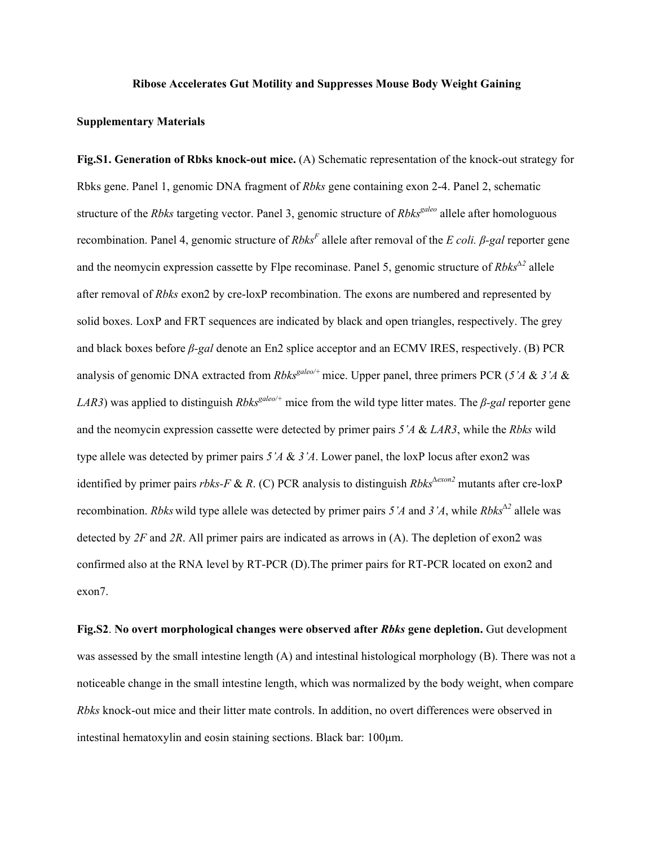## **Ribose Accelerates Gut Motility and Suppresses Mouse Body Weight Gaining**

## **Supplementary Materials**

**Fig.S1. Generation of Rbks knock-out mice.** (A) Schematic representation of the knock-out strategy for Rbks gene. Panel 1, genomic DNA fragment of *Rbks* gene containing exon 2-4. Panel 2, schematic structure of the *Rbks* targeting vector. Panel 3, genomic structure of *Rbks<sup>galeo</sup>* allele after homologuous recombination. Panel 4, genomic structure of *RbksF* allele after removal of the *E coli. β-gal* reporter gene and the neomycin expression cassette by Flpe recominase. Panel 5, genomic structure of *Rbks<sup>∆</sup><sup>2</sup>* allele after removal of *Rbks* exon2 by cre-loxP recombination. The exons are numbered and represented by solid boxes. LoxP and FRT sequences are indicated by black and open triangles, respectively. The grey and black boxes before *β-gal* denote an En2 splice acceptor and an ECMV IRES, respectively. (B) PCR analysis of genomic DNA extracted from *Rbks<sup>galeo/+</sup>* mice. Upper panel, three primers PCR (5'A & 3'A & *LAR3*) was applied to distinguish *Rbks<sup>galeo/+</sup>* mice from the wild type litter mates. The *β-gal* reporter gene and the neomycin expression cassette were detected by primer pairs *5'A* & *LAR3*, while the *Rbks* wild type allele was detected by primer pairs *5'A* & *3'A*. Lower panel, the loxP locus after exon2 was identified by primer pairs *rbks-F* & *R*. (C) PCR analysis to distinguish *Rbks<sup>∆</sup>exon2* mutants after cre-loxP recombination. *Rbks* wild type allele was detected by primer pairs *5'A* and *3'A*, while *Rbks<sup>∆</sup><sup>2</sup>* allele was detected by *2F* and *2R*. All primer pairs are indicated as arrows in (A). The depletion of exon2 was confirmed also at the RNA level by RT-PCR (D).The primer pairs for RT-PCR located on exon2 and exon7.

**Fig.S2**. **No overt morphological changes were observed after** *Rbks* **gene depletion.** Gut development was assessed by the small intestine length (A) and intestinal histological morphology (B). There was not a noticeable change in the small intestine length, which was normalized by the body weight, when compare *Rbks* knock-out mice and their litter mate controls. In addition, no overt differences were observed in intestinal hematoxylin and eosin staining sections. Black bar: 100μm.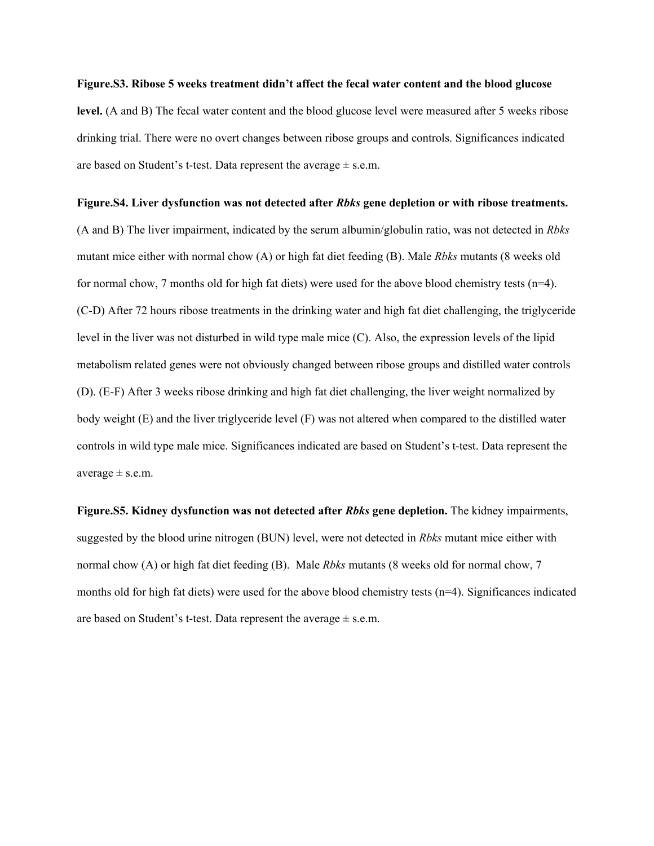## **Figure.S3. Ribose 5 weeks treatment didn't affect the fecal water content and the blood glucose**

level. (A and B) The fecal water content and the blood glucose level were measured after 5 weeks ribose drinking trial. There were no overt changes between ribose groups and controls. Significances indicated are based on Student's t-test. Data represent the average  $\pm$  s.e.m.

## **Figure.S4. Liver dysfunction was not detected after** *Rbks* **gene depletion or with ribose treatments.**

(A and B) The liver impairment, indicated by the serum albumin/globulin ratio, was not detected in *Rbks* mutant mice either with normal chow (A) or high fat diet feeding (B). Male *Rbks* mutants (8 weeks old for normal chow, 7 months old for high fat diets) were used for the above blood chemistry tests (n=4). (C-D) After 72 hours ribose treatments in the drinking water and high fat diet challenging, the triglyceride level in the liver was not disturbed in wild type male mice (C). Also, the expression levels of the lipid metabolism related genes were not obviously changed between ribose groups and distilled water controls (D). (E-F) After 3 weeks ribose drinking and high fat diet challenging, the liver weight normalized by body weight (E) and the liver triglyceride level (F) was not altered when compared to the distilled water controls in wild type male mice. Significances indicated are based on Student's t-test. Data represent the average  $\pm$  s.e.m.

**Figure.S5. Kidney dysfunction was not detected after** *Rbks* **gene depletion.** The kidney impairments, suggested by the blood urine nitrogen (BUN) level, were not detected in *Rbks* mutant mice either with normal chow (A) or high fat diet feeding (B). Male *Rbks* mutants (8 weeks old for normal chow, 7 months old for high fat diets) were used for the above blood chemistry tests (n=4). Significances indicated are based on Student's t-test. Data represent the average  $\pm$  s.e.m.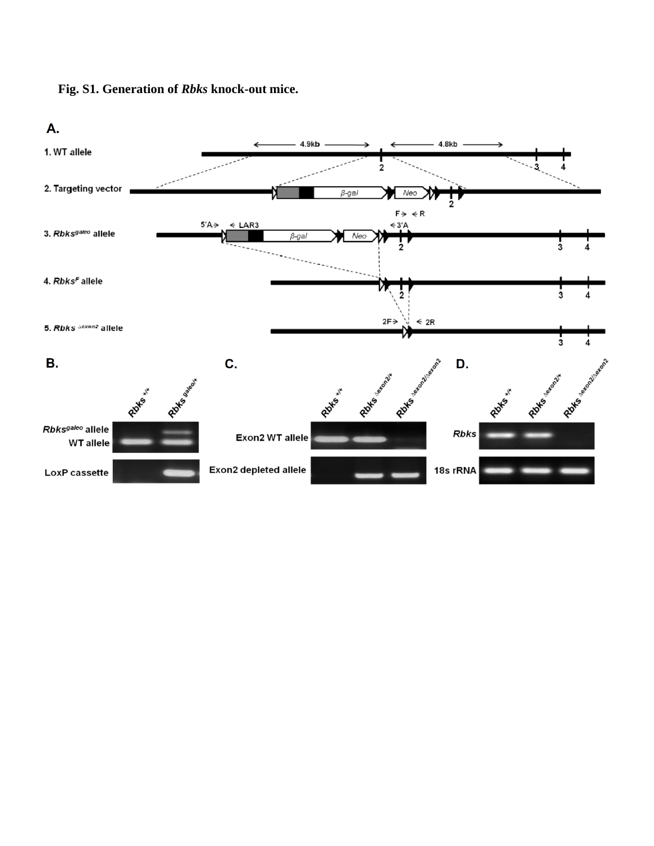

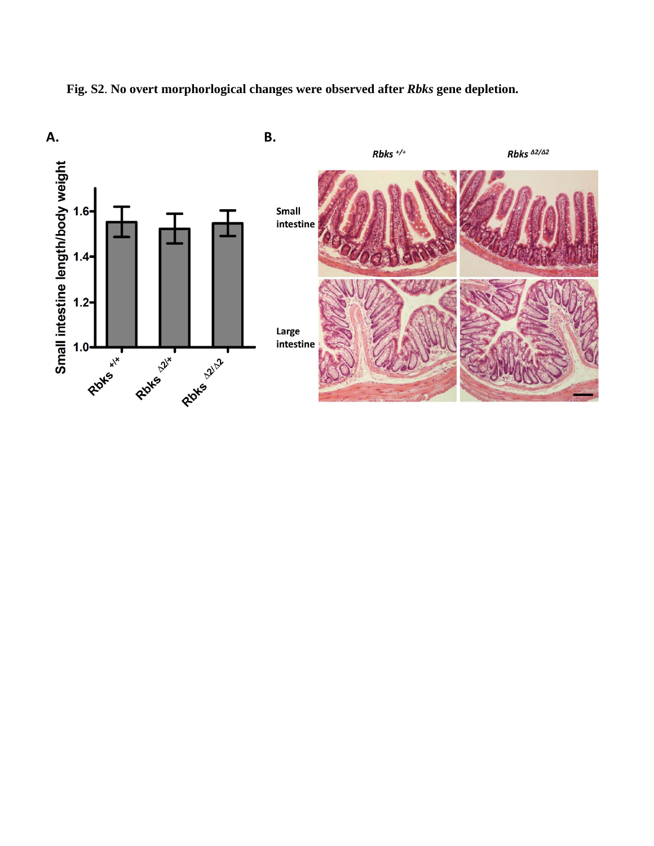

**Fig. S2**. **No overt morphorlogical changes were observed after** *Rbks* **gene depletion.**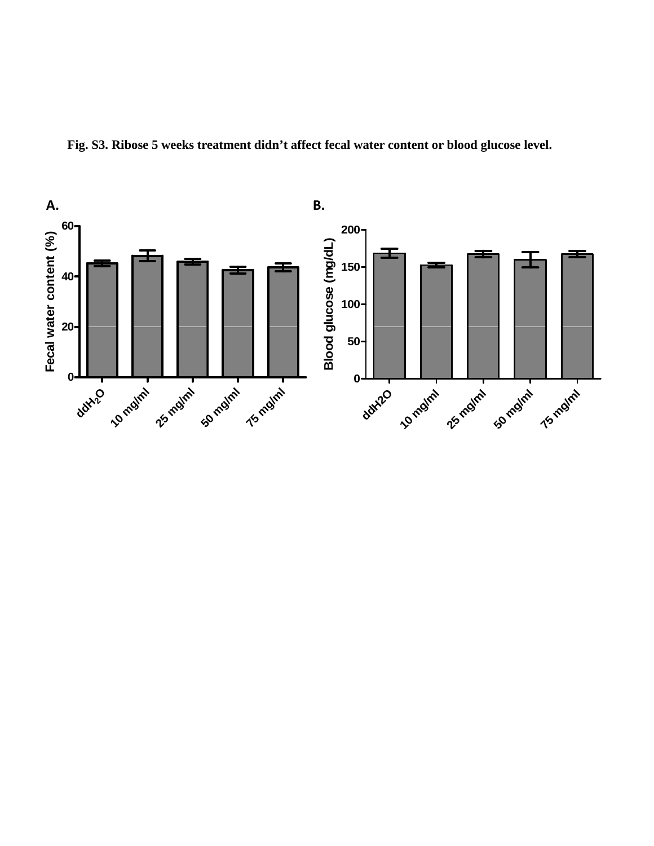

**Fig. S3. Ribose 5 weeks treatment didn't affect fecal water content or blood glucose level.**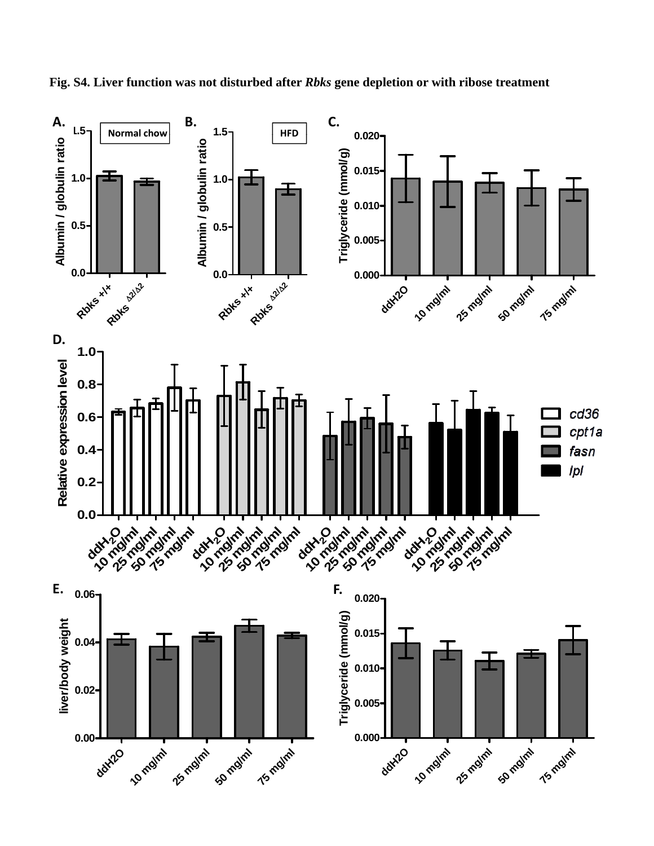

**Fig. S4. Liver function was not disturbed after** *Rbks* **gene depletion or with ribose treatment**